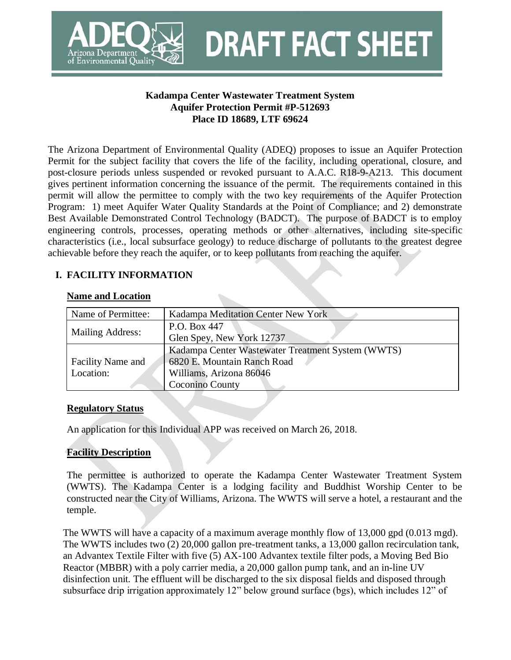

**Kadampa Center Wastewater Treatment System Aquifer Protection Permit #P-512693 Place ID 18689, LTF 69624**

**DRAFT FACT SHEET** 

The Arizona Department of Environmental Quality (ADEQ) proposes to issue an Aquifer Protection Permit for the subject facility that covers the life of the facility, including operational, closure, and post-closure periods unless suspended or revoked pursuant to A.A.C. R18-9-A213. This document gives pertinent information concerning the issuance of the permit. The requirements contained in this permit will allow the permittee to comply with the two key requirements of the Aquifer Protection Program: 1) meet Aquifer Water Quality Standards at the Point of Compliance; and 2) demonstrate Best Available Demonstrated Control Technology (BADCT). The purpose of BADCT is to employ engineering controls, processes, operating methods or other alternatives, including site-specific characteristics (i.e., local subsurface geology) to reduce discharge of pollutants to the greatest degree achievable before they reach the aquifer, or to keep pollutants from reaching the aquifer.

# **I. FACILITY INFORMATION**

### **Name and Location**

| Name of Permittee:       | Kadampa Meditation Center New York                |
|--------------------------|---------------------------------------------------|
|                          | P.O. Box 447                                      |
| <b>Mailing Address:</b>  | Glen Spey, New York 12737                         |
|                          | Kadampa Center Wastewater Treatment System (WWTS) |
| <b>Facility Name and</b> | 6820 E. Mountain Ranch Road                       |
| Location:                | Williams, Arizona 86046                           |
|                          | Coconino County                                   |

### **Regulatory Status**

An application for this Individual APP was received on March 26, 2018.

# **Facility Description**

The permittee is authorized to operate the Kadampa Center Wastewater Treatment System (WWTS). The Kadampa Center is a lodging facility and Buddhist Worship Center to be constructed near the City of Williams, Arizona. The WWTS will serve a hotel, a restaurant and the temple.

The WWTS will have a capacity of a maximum average monthly flow of 13,000 gpd (0.013 mgd). The WWTS includes two (2) 20,000 gallon pre-treatment tanks, a 13,000 gallon recirculation tank, an Advantex Textile Filter with five (5) AX-100 Advantex textile filter pods, a Moving Bed Bio Reactor (MBBR) with a poly carrier media, a 20,000 gallon pump tank, and an in-line UV disinfection unit. The effluent will be discharged to the six disposal fields and disposed through subsurface drip irrigation approximately 12" below ground surface (bgs), which includes 12" of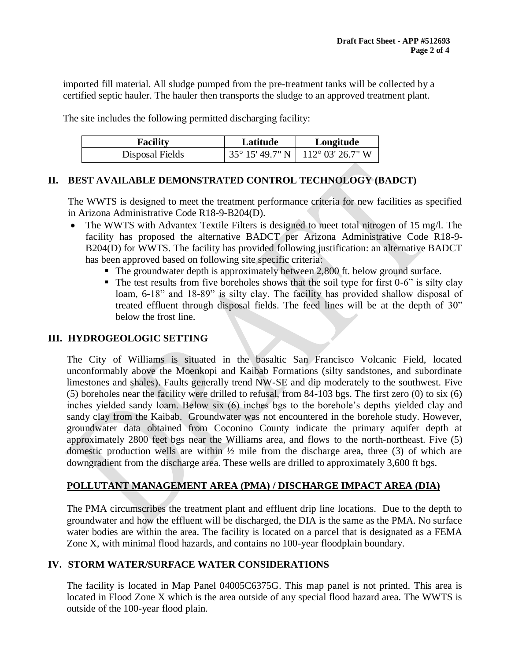imported fill material. All sludge pumped from the pre-treatment tanks will be collected by a certified septic hauler. The hauler then transports the sludge to an approved treatment plant.

The site includes the following permitted discharging facility:

| <b>Facility</b> | Latitude | Longitude                                             |  |
|-----------------|----------|-------------------------------------------------------|--|
| Disposal Fields |          | $35^{\circ}$ 15' 49.7" N   112 $^{\circ}$ 03' 26.7" W |  |

## **II. BEST AVAILABLE DEMONSTRATED CONTROL TECHNOLOGY (BADCT)**

The WWTS is designed to meet the treatment performance criteria for new facilities as specified in Arizona Administrative Code R18-9-B204(D).

- The WWTS with Advantex Textile Filters is designed to meet total nitrogen of 15 mg/l. The facility has proposed the alternative BADCT per Arizona Administrative Code R18-9- B204(D) for WWTS. The facility has provided following justification: an alternative BADCT has been approved based on following site specific criteria:
	- The groundwater depth is approximately between 2,800 ft. below ground surface.
	- $\blacksquare$  The test results from five boreholes shows that the soil type for first 0-6" is silty clay loam, 6-18" and 18-89" is silty clay. The facility has provided shallow disposal of treated effluent through disposal fields. The feed lines will be at the depth of 30" below the frost line.

### **III. HYDROGEOLOGIC SETTING**

The City of Williams is situated in the basaltic San Francisco Volcanic Field, located unconformably above the Moenkopi and Kaibab Formations (silty sandstones, and subordinate limestones and shales). Faults generally trend NW-SE and dip moderately to the southwest. Five (5) boreholes near the facility were drilled to refusal, from 84-103 bgs. The first zero (0) to six (6) inches yielded sandy loam. Below six (6) inches bgs to the borehole's depths yielded clay and sandy clay from the Kaibab. Groundwater was not encountered in the borehole study. However, groundwater data obtained from Coconino County indicate the primary aquifer depth at approximately 2800 feet bgs near the Williams area, and flows to the north-northeast. Five (5) domestic production wells are within  $\frac{1}{2}$  mile from the discharge area, three (3) of which are downgradient from the discharge area. These wells are drilled to approximately 3,600 ft bgs.

# **POLLUTANT MANAGEMENT AREA (PMA) / DISCHARGE IMPACT AREA (DIA)**

The PMA circumscribes the treatment plant and effluent drip line locations. Due to the depth to groundwater and how the effluent will be discharged, the DIA is the same as the PMA. No surface water bodies are within the area. The facility is located on a parcel that is designated as a FEMA Zone X, with minimal flood hazards, and contains no 100-year floodplain boundary.

### **IV. STORM WATER/SURFACE WATER CONSIDERATIONS**

The facility is located in Map Panel 04005C6375G. This map panel is not printed. This area is located in Flood Zone X which is the area outside of any special flood hazard area. The WWTS is outside of the 100-year flood plain.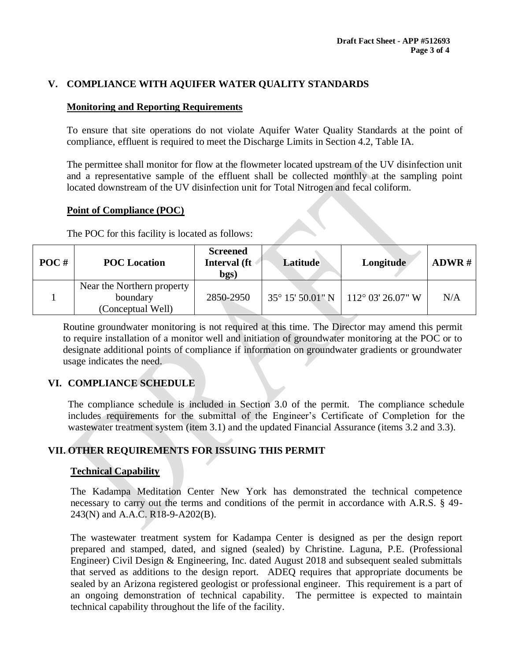## **V. COMPLIANCE WITH AQUIFER WATER QUALITY STANDARDS**

## **Monitoring and Reporting Requirements**

To ensure that site operations do not violate Aquifer Water Quality Standards at the point of compliance, effluent is required to meet the Discharge Limits in Section 4.2, Table IA.

The permittee shall monitor for flow at the flowmeter located upstream of the UV disinfection unit and a representative sample of the effluent shall be collected monthly at the sampling point located downstream of the UV disinfection unit for Total Nitrogen and fecal coliform.

#### **Point of Compliance (POC)**

The POC for this facility is located as follows:

| $POC$ # | <b>POC</b> Location                                         | <b>Screened</b><br>Interval (ft<br>bgs) | Latitude | Longitude                                     | ADWR# |
|---------|-------------------------------------------------------------|-----------------------------------------|----------|-----------------------------------------------|-------|
|         | Near the Northern property<br>boundary<br>(Conceptual Well) | 2850-2950                               |          | $35^{\circ}$ 15' 50.01" N   112° 03' 26.07" W | N/A   |

Routine groundwater monitoring is not required at this time. The Director may amend this permit to require installation of a monitor well and initiation of groundwater monitoring at the POC or to designate additional points of compliance if information on groundwater gradients or groundwater usage indicates the need.

# **VI. COMPLIANCE SCHEDULE**

The compliance schedule is included in Section 3.0 of the permit. The compliance schedule includes requirements for the submittal of the Engineer's Certificate of Completion for the wastewater treatment system (item 3.1) and the updated Financial Assurance (items 3.2 and 3.3).

# **VII. OTHER REQUIREMENTS FOR ISSUING THIS PERMIT**

### **Technical Capability**

The Kadampa Meditation Center New York has demonstrated the technical competence necessary to carry out the terms and conditions of the permit in accordance with A.R.S. § 49-243(N) and A.A.C. R18-9-A202(B).

The wastewater treatment system for Kadampa Center is designed as per the design report prepared and stamped, dated, and signed (sealed) by Christine. Laguna, P.E. (Professional Engineer) Civil Design & Engineering, Inc. dated August 2018 and subsequent sealed submittals that served as additions to the design report. ADEQ requires that appropriate documents be sealed by an Arizona registered geologist or professional engineer. This requirement is a part of an ongoing demonstration of technical capability. The permittee is expected to maintain technical capability throughout the life of the facility.